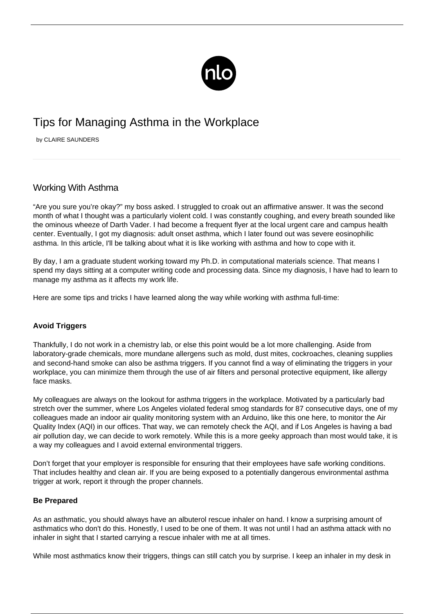

# Tips for Managing Asthma in the Workplace

by CLAIRE SAUNDERS

# Working With Asthma

"Are you sure you're okay?" my boss asked. I struggled to croak out an affirmative answer. It was the second month of what I thought was a particularly violent cold. I was constantly coughing, and every breath sounded like the ominous wheeze of Darth Vader. I had become a frequent flyer at the local urgent care and campus health center. Eventually, I got my diagnosis: adult onset asthma, which I later found out was severe eosinophilic asthma. In this article, I'll be talking about what it is like working with asthma and how to cope with it.

By day, I am a graduate student working toward my Ph.D. in computational materials science. That means I spend my days sitting at a computer writing code and processing data. Since my diagnosis, I have had to learn to manage my asthma as it affects my work life.

Here are some tips and tricks I have learned along the way while working with asthma full-time:

## **Avoid Triggers**

Thankfully, I do not work in a chemistry lab, or else this point would be a lot more challenging. Aside from laboratory-grade chemicals, more mundane allergens such as mold, dust mites, cockroaches, cleaning supplies and second-hand smoke can also be asthma triggers. If you cannot find a way of eliminating the triggers in your workplace, you can minimize them through the use of air filters and personal protective equipment, like allergy face masks.

My colleagues are always on the lookout for asthma triggers in the workplace. Motivated by a particularly bad stretch over the summer, where Los Angeles violated federal smog standards for 87 consecutive days, one of my colleagues made an indoor air quality monitoring system with an Arduino, like this one [here,](https://create.arduino.cc/projecthub/east-west-university/indoor-air-quality-monitoring-system-5b5244) to monitor the Air Quality Index (AQI) in our offices. That way, we can remotely check the AQI, and if Los Angeles is having a bad air pollution day, we can decide to work remotely. While this is a more geeky approach than most would take, it is a way my colleagues and I avoid external environmental triggers.

Don't forget that your employer is responsible for ensuring that their employees have safe working conditions. That includes healthy and clean air. If you are being exposed to a potentially dangerous environmental asthma trigger at work, report it through the proper channels.

#### **Be Prepared**

As an asthmatic, you should always have an albuterol rescue inhaler on hand. I know a surprising amount of asthmatics who don't do this. Honestly, I used to be one of them. It was not until I had an asthma attack with no inhaler in sight that I started carrying a rescue inhaler with me at all times.

While most asthmatics know their triggers, things can still catch you by surprise. I keep an inhaler in my desk in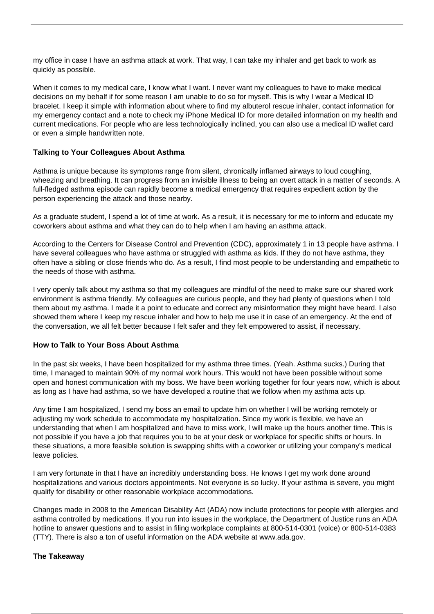my office in case I have an asthma attack at work. That way, I can take my inhaler and get back to work as quickly as possible.

When it comes to my medical care, I know what I want. I never want my colleagues to have to make medical decisions on my behalf if for some reason I am unable to do so for myself. This is why I wear a [Medical ID](https://www.laurenshope.com/) [bracelet.](https://www.laurenshope.com/) I keep it simple with information about where to find my albuterol rescue inhaler, contact information for my emergency contact and a note to check my iPhone Medical ID for more detailed information on my health and current medications. For people who are less technologically inclined, you can also use a medical ID wallet card or even a simple handwritten note.

### **Talking to Your Colleagues About Asthma**

Asthma is unique because its [symptoms](/symptoms-asthma/) range from silent, chronically inflamed airways to loud coughing, wheezing and breathing. It can progress from an invisible illness to being an overt attack in a matter of seconds. A full-fledged asthma episode can rapidly become a medical emergency that requires expedient action by the person experiencing the attack and those nearby.

As a graduate student, I spend a lot of time at work. As a result, it is necessary for me to inform and educate my coworkers about asthma and what they can do to help when I am having an asthma attack.

According to the Centers for Disease Control and Prevention (CDC), approximately [1 in 13 people have asthma](https://www.cdc.gov/asthma/most_recent_national_asthma_data.htm). I have several colleagues who have asthma or struggled with asthma as kids. If they do not have asthma, they often have a sibling or close friends who do. As a result, I find most people to be understanding and empathetic to the needs of those with asthma.

I very openly talk about my asthma so that my colleagues are mindful of the need to make sure our shared work environment is asthma friendly. My colleagues are curious people, and they had plenty of questions when I told them about my asthma. I made it a point to educate and correct any misinformation they might have heard. I also showed them where I keep my rescue inhaler and how to help me use it in case of an emergency. At the end of the conversation, we all felt better because I felt safer and they felt empowered to assist, if necessary.

#### **How to Talk to Your Boss About Asthma**

In the past six weeks, I have been hospitalized for my asthma three times. (Yeah. Asthma sucks.) During that time, I managed to maintain 90% of my normal work hours. This would not have been possible without some open and honest communication with my boss. We have been working together for four years now, which is about as long as I have had asthma, so we have developed a routine that we follow when my asthma acts up.

Any time I am hospitalized, I send my boss an email to update him on whether I will be working remotely or adjusting my work schedule to accommodate my hospitalization. Since my work is flexible, we have an understanding that when I am hospitalized and have to miss work, I will make up the hours another time. This is not possible if you have a job that requires you to be at your desk or workplace for specific shifts or hours. In these situations, a more feasible solution is swapping shifts with a coworker or utilizing your company's medical leave policies.

I am very fortunate in that I have an incredibly understanding boss. He knows I get my work done around hospitalizations and various doctors appointments. Not everyone is so lucky. If your asthma is severe, you might qualify for disability or other reasonable workplace accommodations.

Changes made in 2008 to the American Disability Act (ADA) now include protections for people with allergies and asthma controlled by medications. If you run into issues in the workplace, the Department of Justice runs an ADA hotline to answer questions and to assist in filing workplace complaints at 800-514-0301 (voice) or 800-514-0383 (TTY). There is also a ton of useful information on the ADA website at [www.ada.gov](http://www.ada.gov/).

#### **The Takeaway**